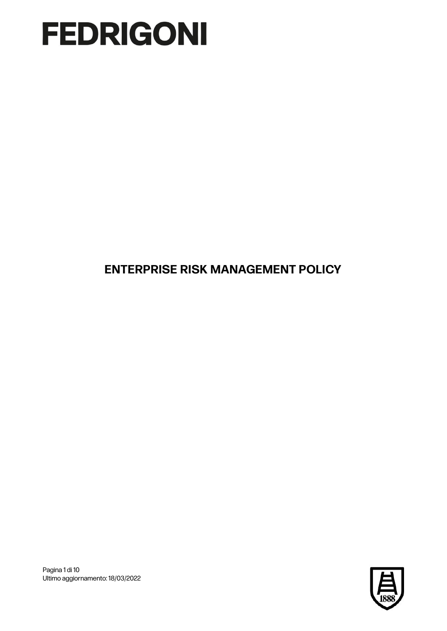**ENTERPRISE RISK MANAGEMENT POLICY**



Pagina 1 di 10 Ultimo aggiornamento: 18/03/2022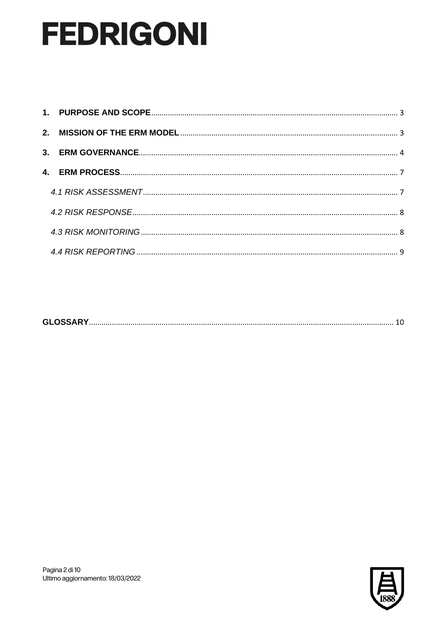|--|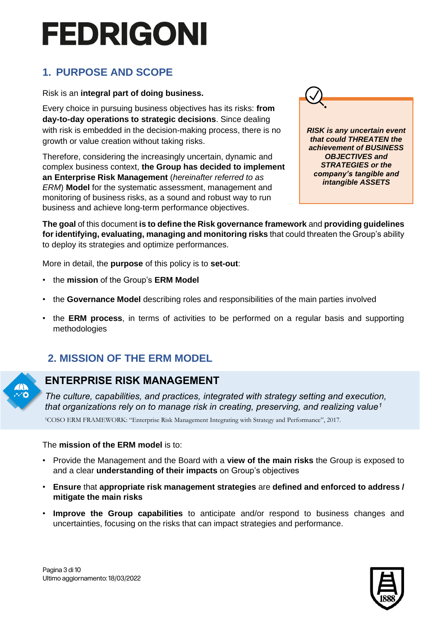### **1. PURPOSE AND SCOPE**

#### Risk is an **integral part of doing business.**

<span id="page-2-0"></span>Every choice in pursuing business objectives has its risks: **from day-to-day operations to strategic decisions**. Since dealing with risk is embedded in the decision-making process, there is no growth or value creation without taking risks.

Therefore, considering the increasingly uncertain, dynamic and complex business context, **the Group has decided to implement an Enterprise Risk Management** (*hereinafter referred to as ERM*) **Model** for the systematic assessment, management and monitoring of business risks, as a sound and robust way to run business and achieve long-term performance objectives.



*RISK is any uncertain event that could THREATEN the achievement of BUSINESS OBJECTIVES and STRATEGIES or the company's tangible and intangible ASSETS*

**The goal** of this document **is to define the Risk governance framework** and **providing guidelines for identifying, evaluating, managing and monitoring risks** that could threaten the Group's ability to deploy its strategies and optimize performances.

More in detail, the **purpose** of this policy is to **set-out**:

- the **mission** of the Group's **ERM Model**
- the **Governance Model** describing roles and responsibilities of the main parties involved
- the **ERM process**, in terms of activities to be performed on a regular basis and supporting methodologies

### <span id="page-2-2"></span><span id="page-2-1"></span>**2. MISSION OF THE ERM MODEL**



### **ENTERPRISE RISK MANAGEMENT**

*The culture, capabilities, and practices, integrated with strategy setting and execution, that organizations rely on to manage risk in creating, preserving, and realizing value<sup>1</sup>*

1COSO ERM FRAMEWORK: "Enterprise Risk Management Integrating with Strategy and Performance", 2017.

#### The **mission of the ERM model** is to:

- Provide the Management and the Board with a **view of the main risks** the Group is exposed to and a clear **understanding of their impacts** on Group's objectives
- **Ensure** that **appropriate risk management strategies** are **defined and enforced to address / mitigate the main risks**
- **Improve the Group capabilities** to anticipate and/or respond to business changes and uncertainties, focusing on the risks that can impact strategies and performance.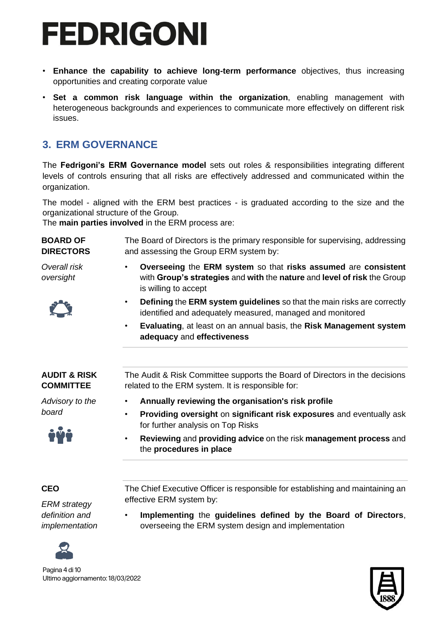- **Enhance the capability to achieve long-term performance** objectives, thus increasing opportunities and creating corporate value
- **Set a common risk language within the organization**, enabling management with heterogeneous backgrounds and experiences to communicate more effectively on different risk issues.

### <span id="page-3-0"></span>**3. ERM GOVERNANCE**

The **Fedrigoni's ERM Governance model** sets out roles & responsibilities integrating different levels of controls ensuring that all risks are effectively addressed and communicated within the organization.

The model - aligned with the ERM best practices - is graduated according to the size and the organizational structure of the Group.

The **main parties involved** in the ERM process are:

**BOARD OF DIRECTORS**

The Board of Directors is the primary responsible for supervising, addressing and assessing the Group ERM system by:

*Overall risk oversight*

- 
- **Overseeing** the **ERM system** so that **risks assumed** are **consistent**  with **Group's strategies** and **with** the **nature** and **level of risk** the Group is willing to accept
- **Defining** the **ERM system guidelines** so that the main risks are correctly identified and adequately measured, managed and monitored
- **Evaluating**, at least on an annual basis, the **Risk Management system adequacy** and **effectiveness**

#### **AUDIT & RISK COMMITTEE**

The Audit & Risk Committee supports the Board of Directors in the decisions related to the ERM system. It is responsible for:

*Advisory to the board*



• **Annually reviewing the organisation's risk profile** • **Providing oversight** on **significant risk exposures** and eventually ask

the **procedures in place**

effective ERM system by:

for further analysis on Top Risks • **Reviewing** and **providing advice** on the risk **management process** and

**CEO**

*ERM strategy definition and implementation*



Pagina 4 di 10 Ultimo aggiornamento: 18/03/2022

• **Implementing** the **guidelines defined by the Board of Directors**, overseeing the ERM system design and implementation

The Chief Executive Officer is responsible for establishing and maintaining an

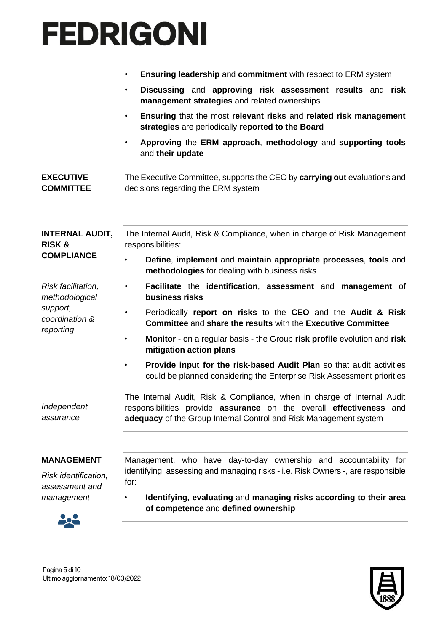|                                                      | <b>Ensuring leadership and commitment with respect to ERM system</b><br>$\bullet$                                                                                                                                   |  |  |
|------------------------------------------------------|---------------------------------------------------------------------------------------------------------------------------------------------------------------------------------------------------------------------|--|--|
|                                                      | Discussing and approving risk assessment results and risk<br>٠<br>management strategies and related ownerships                                                                                                      |  |  |
|                                                      | Ensuring that the most relevant risks and related risk management<br>$\bullet$<br>strategies are periodically reported to the Board                                                                                 |  |  |
|                                                      | Approving the ERM approach, methodology and supporting tools<br>and their update                                                                                                                                    |  |  |
| <b>EXECUTIVE</b><br><b>COMMITTEE</b>                 | The Executive Committee, supports the CEO by carrying out evaluations and<br>decisions regarding the ERM system                                                                                                     |  |  |
| <b>INTERNAL AUDIT,</b>                               | The Internal Audit, Risk & Compliance, when in charge of Risk Management                                                                                                                                            |  |  |
| <b>RISK &amp;</b>                                    | responsibilities:                                                                                                                                                                                                   |  |  |
| <b>COMPLIANCE</b>                                    | Define, implement and maintain appropriate processes, tools and<br>$\bullet$<br>methodologies for dealing with business risks                                                                                       |  |  |
| Risk facilitation,<br>methodological                 | Facilitate the identification, assessment and management of<br>٠<br>business risks                                                                                                                                  |  |  |
| support,<br>coordination &<br>reporting              | Periodically report on risks to the CEO and the Audit & Risk<br>$\bullet$<br><b>Committee and share the results with the Executive Committee</b>                                                                    |  |  |
|                                                      | Monitor - on a regular basis - the Group risk profile evolution and risk<br>$\bullet$<br>mitigation action plans                                                                                                    |  |  |
|                                                      | Provide input for the risk-based Audit Plan so that audit activities<br>$\bullet$<br>could be planned considering the Enterprise Risk Assessment priorities                                                         |  |  |
| Independent<br>assurance                             | The Internal Audit, Risk & Compliance, when in charge of Internal Audit<br>responsibilities provide assurance on the overall effectiveness and<br>adequacy of the Group Internal Control and Risk Management system |  |  |
|                                                      |                                                                                                                                                                                                                     |  |  |
| <b>MANAGEMENT</b>                                    | Management, who have day-to-day ownership and accountability for                                                                                                                                                    |  |  |
| Risk identification,<br>assessment and<br>management | identifying, assessing and managing risks - i.e. Risk Owners -, are responsible<br>for:<br>Identifying, evaluating and managing risks according to their area<br>$\bullet$                                          |  |  |
|                                                      |                                                                                                                                                                                                                     |  |  |

**of competence** and **defined ownership**



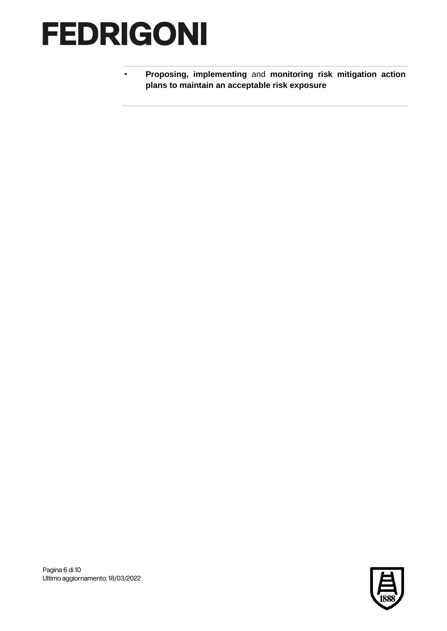• **Proposing, implementing** and **monitoring risk mitigation action plans to maintain an acceptable risk exposure**

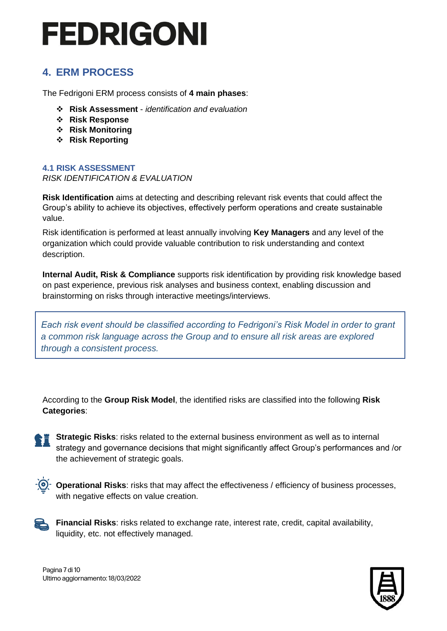### <span id="page-6-0"></span>**4. ERM PROCESS**

The Fedrigoni ERM process consists of **4 main phases**:

- ❖ **Risk Assessment**  *identification and evaluation*
- ❖ **Risk Response**
- ❖ **Risk Monitoring**
- ❖ **Risk Reporting**

#### <span id="page-6-1"></span>**4.1 RISK ASSESSMENT** *RISK IDENTIFICATION & EVALUATION*

**Risk Identification** aims at detecting and describing relevant risk events that could affect the Group's ability to achieve its objectives, effectively perform operations and create sustainable value.

Risk identification is performed at least annually involving **Key Managers** and any level of the organization which could provide valuable contribution to risk understanding and context description.

**Internal Audit, Risk & Compliance** supports risk identification by providing risk knowledge based on past experience, previous risk analyses and business context, enabling discussion and brainstorming on risks through interactive meetings/interviews.

*Each risk event should be classified according to Fedrigoni's Risk Model in order to grant a common risk language across the Group and to ensure all risk areas are explored through a consistent process.*

According to the **Group Risk Model**, the identified risks are classified into the following **Risk Categories**:

• **Strategic Risks**: risks related to the external business environment as well as to internal strategy and governance decisions that might significantly affect Group's performances and /or the achievement of strategic goals.



• **Operational Risks**: risks that may affect the effectiveness / efficiency of business processes, with negative effects on value creation.



• **Financial Risks**: risks related to exchange rate, interest rate, credit, capital availability, liquidity, etc. not effectively managed.



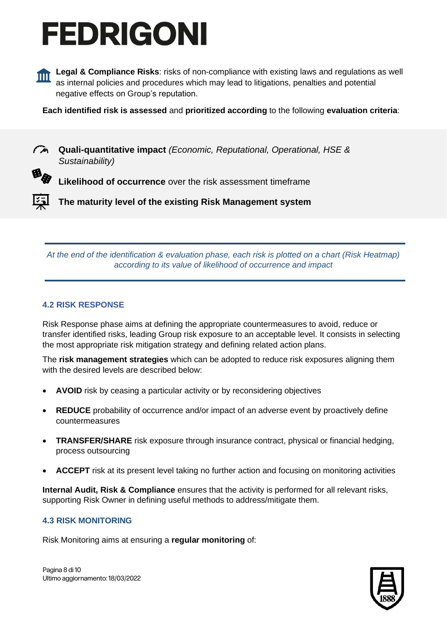

**Legal & Compliance Risks**: risks of non-compliance with existing laws and regulations as well as internal policies and procedures which may lead to litigations, penalties and potential negative effects on Group's reputation.

**Each identified risk is assessed** and **prioritized according** to the following **evaluation criteria**:

• **Quali-quantitative impact** *(Economic, Reputational, Operational, HSE & Sustainability)*

**Likelihood of occurrence** over the risk assessment timeframe

• **The maturity level of the existing Risk Management system** 

*At the end of the identification & evaluation phase, each risk is plotted on a chart (Risk Heatmap) according to its value of likelihood of occurrence and impact*

#### <span id="page-7-0"></span>**4.2 RISK RESPONSE**

Risk Response phase aims at defining the appropriate countermeasures to avoid, reduce or transfer identified risks, leading Group risk exposure to an acceptable level. It consists in selecting the most appropriate risk mitigation strategy and defining related action plans.

The **risk management strategies** which can be adopted to reduce risk exposures aligning them with the desired levels are described below:

- **AVOID** risk by ceasing a particular activity or by reconsidering objectives
- **REDUCE** probability of occurrence and/or impact of an adverse event by proactively define countermeasures
- **TRANSFER/SHARE** risk exposure through insurance contract, physical or financial hedging, process outsourcing
- **ACCEPT** risk at its present level taking no further action and focusing on monitoring activities

**Internal Audit, Risk & Compliance** ensures that the activity is performed for all relevant risks, supporting Risk Owner in defining useful methods to address/mitigate them.

#### <span id="page-7-1"></span>**4.3 RISK MONITORING**

Risk Monitoring aims at ensuring a **regular monitoring** of:



Pagina 8 di 10 Ultimo aggiornamento: 18/03/2022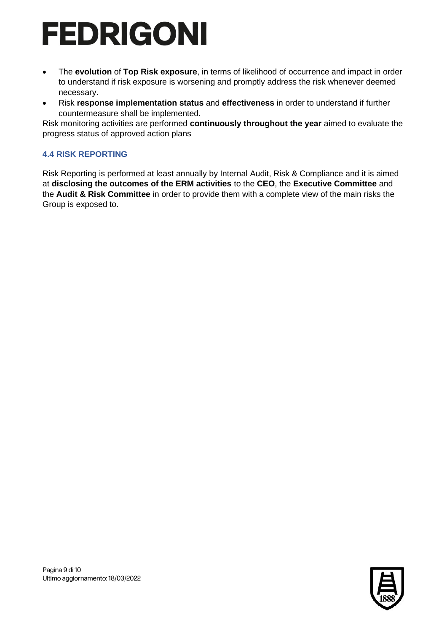- The **evolution** of **Top Risk exposure**, in terms of likelihood of occurrence and impact in order to understand if risk exposure is worsening and promptly address the risk whenever deemed necessary.
- Risk **response implementation status** and **effectiveness** in order to understand if further countermeasure shall be implemented.

Risk monitoring activities are performed **continuously throughout the year** aimed to evaluate the progress status of approved action plans

### <span id="page-8-0"></span>**4.4 RISK REPORTING**

Risk Reporting is performed at least annually by Internal Audit, Risk & Compliance and it is aimed at **disclosing the outcomes of the ERM activities** to the **CEO**, the **Executive Committee** and the **Audit & Risk Committee** in order to provide them with a complete view of the main risks the Group is exposed to.